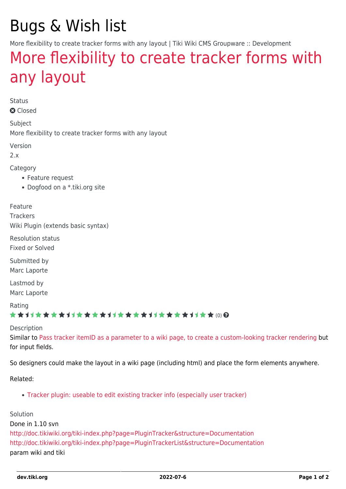# Bugs & Wish list

More flexibility to create tracker forms with any layout | Tiki Wiki CMS Groupware :: Development

## [More flexibility to create tracker forms with](https://dev.tiki.org/item1549-More-flexibility-to-create-tracker-forms-with-any-layout) [any layout](https://dev.tiki.org/item1549-More-flexibility-to-create-tracker-forms-with-any-layout)

Status

**a** Closed

Subject More flexibility to create tracker forms with any layout

Version

2.x

Category

- Feature request
- Dogfood on a \*.tiki.org site

Feature

**Trackers** 

Wiki Plugin (extends basic syntax)

Resolution status Fixed or Solved

Submitted by

Marc Laporte

Lastmod by Marc Laporte

#### Rating

#### ★★11★★★★11★★★★11★★★★11★★★★+11★★ (0)@

#### Description

Similar to [Pass tracker itemID as a parameter to a wiki page, to create a custom-looking tracker rendering](https://dev.tiki.org/tiki-view_tracker_item.php?itemId=1149) but for input fields.

So designers could make the layout in a wiki page (including html) and place the form elements anywhere.

Related:

[Tracker plugin: useable to edit existing tracker info \(especially user tracker\)](https://dev.tiki.org/tiki-view_tracker_item.php?itemId=943)

#### Solution

Done in 1.10 svn <http://doc.tikiwiki.org/tiki-index.php?page=PluginTracker&structure=Documentation> <http://doc.tikiwiki.org/tiki-index.php?page=PluginTrackerList&structure=Documentation> param wiki and tiki